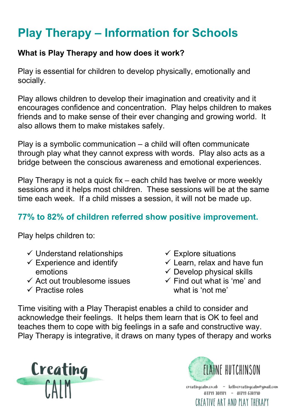# **Play Therapy – Information for Schools**

### **What is Play Therapy and how does it work?**

Play is essential for children to develop physically, emotionally and socially.

Play allows children to develop their imagination and creativity and it encourages confidence and concentration. Play helps children to makes friends and to make sense of their ever changing and growing world. It also allows them to make mistakes safely.

Play is a symbolic communication – a child will often communicate through play what they cannot express with words. Play also acts as a bridge between the conscious awareness and emotional experiences.

Play Therapy is not a quick fix – each child has twelve or more weekly sessions and it helps most children. These sessions will be at the same time each week. If a child misses a session, it will not be made up.

## **77% to 82% of children referred show positive improvement.**

Play helps children to:

- $\checkmark$  Understand relationships
- $\checkmark$  Experience and identify emotions
- $\checkmark$  Act out troublesome issues
- $\checkmark$  Practise roles
- $\checkmark$  Explore situations
- $\checkmark$  Learn, relax and have fun
- $\checkmark$  Develop physical skills
- $\checkmark$  Find out what is 'me' and what is 'not me'

Time visiting with a Play Therapist enables a child to consider and acknowledge their feelings. It helps them learn that is OK to feel and teaches them to cope with big feelings in a safe and constructive way. Play Therapy is integrative, it draws on many types of therapy and works



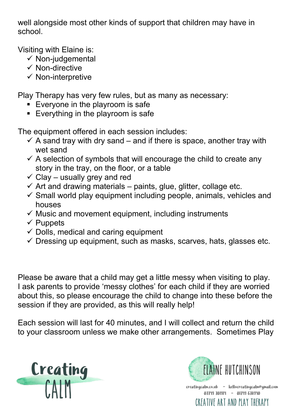well alongside most other kinds of support that children may have in school.

Visiting with Elaine is:

- $\checkmark$  Non-judgemental
- $\checkmark$  Non-directive
- $\checkmark$  Non-interpretive

Play Therapy has very few rules, but as many as necessary:

- **Everyone in the playroom is safe**
- **Everything in the playroom is safe**

The equipment offered in each session includes:

- $\checkmark$  A sand tray with dry sand and if there is space, another tray with wet sand
- $\checkmark$  A selection of symbols that will encourage the child to create any story in the tray, on the floor, or a table
- $\checkmark$  Clay usually grey and red
- $\checkmark$  Art and drawing materials paints, glue, glitter, collage etc.
- $\checkmark$  Small world play equipment including people, animals, vehicles and houses
- $\checkmark$  Music and movement equipment, including instruments
- $\checkmark$  Puppets
- $\checkmark$  Dolls, medical and caring equipment
- $\checkmark$  Dressing up equipment, such as masks, scarves, hats, glasses etc.

Please be aware that a child may get a little messy when visiting to play. I ask parents to provide 'messy clothes' for each child if they are worried about this, so please encourage the child to change into these before the session if they are provided, as this will really help!

Each session will last for 40 minutes, and I will collect and return the child to your classroom unless we make other arrangements. Sometimes Play



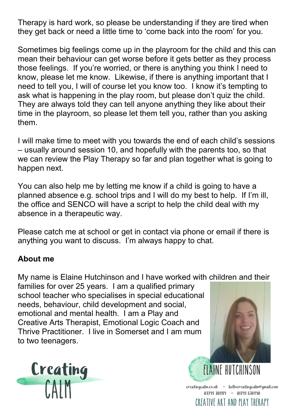Therapy is hard work, so please be understanding if they are tired when they get back or need a little time to 'come back into the room' for you.

Sometimes big feelings come up in the playroom for the child and this can mean their behaviour can get worse before it gets better as they process those feelings. If you're worried, or there is anything you think I need to know, please let me know. Likewise, if there is anything important that I need to tell you, I will of course let you know too. I know it's tempting to ask what is happening in the play room, but please don't quiz the child. They are always told they can tell anyone anything they like about their time in the playroom, so please let them tell you, rather than you asking them.

I will make time to meet with you towards the end of each child's sessions – usually around session 10, and hopefully with the parents too, so that we can review the Play Therapy so far and plan together what is going to happen next.

You can also help me by letting me know if a child is going to have a planned absence e.g. school trips and I will do my best to help. If I'm ill, the office and SENCO will have a script to help the child deal with my absence in a therapeutic way.

Please catch me at school or get in contact via phone or email if there is anything you want to discuss. I'm always happy to chat.

#### **About me**

My name is Elaine Hutchinson and I have worked with children and their

families for over 25 years. I am a qualified primary school teacher who specialises in special educational needs, behaviour, child development and social, emotional and mental health. I am a Play and Creative Arts Therapist, Emotional Logic Coach and Thrive Practitioner. I live in Somerset and I am mum to two teenagers.